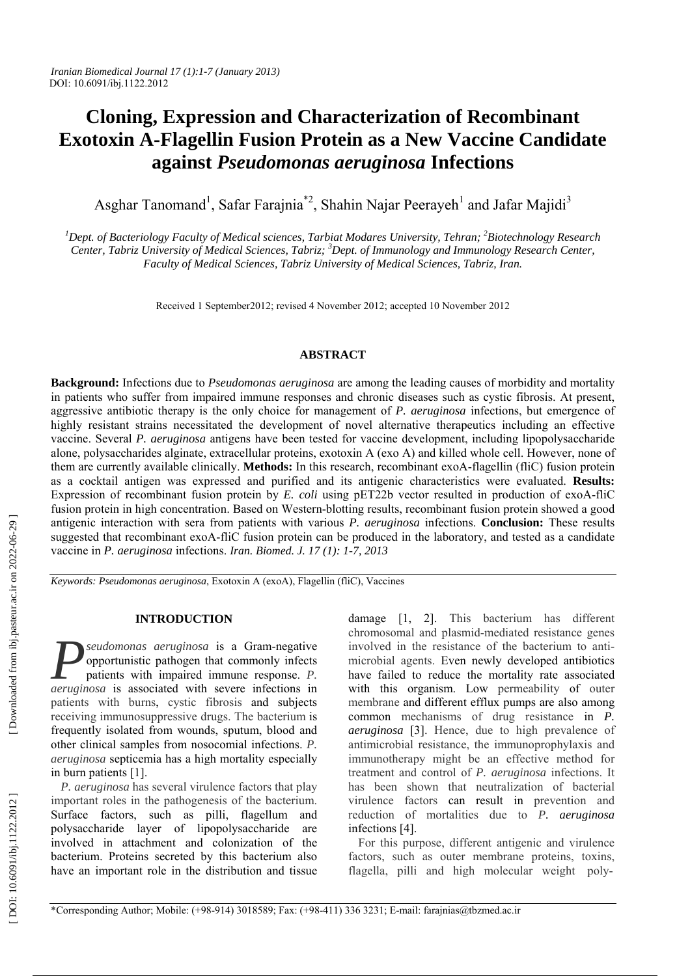# **Cloning, Expression and Characterization of Recombinant Exotoxin A-Flagellin Fusion Protein as a New Vaccine Candidate against** *Pseudomonas aeruginosa* **Infections**

Asghar Tanomand<sup>1</sup>, Safar Farajnia<sup>\*2</sup>, Shahin Najar Peerayeh<sup>1</sup> and Jafar Majidi<sup>3</sup>

<sup>1</sup>Dept. of Bacteriology Faculty of Medical sciences, Tarbiat Modares University, Tehran; <sup>2</sup>Biotechnology Research Center, Tabriz University of Medical Sciences, Tabriz; <sup>3</sup>Dept. of Immunology and Immunology Research Center, *Faculty of Medical Sciences, Tabriz University of Medical Sciences, Tabriz, Iran.* 

Received 1 September2012; revised 4 November 2012; accepted 10 November 2012

# **ABSTRACT**

**Background:** Infections due to *Pseudomonas aeruginosa* are among the leading causes of morbidity and mortality in patients who suffer from impaired immune responses and chronic diseases such as cystic fibrosis. At present, aggressive antibiotic therapy is the only choice for management of *P. aeruginosa* infections, but emergence of highly resistant strains necessitated the development of novel alternative therapeutics including an effective vaccine. Several *P. aeruginosa* antigens have been tested for vaccine development, including lipopolysaccharide alone, polysaccharides alginate, extracellular proteins, exotoxin A (exo A) and killed whole cell. However, none of them are currently available clinically. **Methods:** In this research, recombinant exoA-flagellin (fliC) fusion protein as a cocktail antigen was expressed and purified and its antigenic characteristics were evaluated. **Results:** Expression of recombinant fusion protein by *E. coli* using pET22b vector resulted in production of exoA-fliC fusion protein in high concentration. Based on Western-blotting results, recombinant fusion protein showed a good antigenic interaction with sera from patients with various *P. aeruginosa* infections. **Conclusion:** These results suggested that recombinant exoA-fliC fusion protein can be produced in the laboratory, and tested as a candidate vaccine in *P. aeruginosa* infections. *Iran. Biomed. J. 17 (1): 1-7, 2013*

*Keywords: Pseudomonas aeruginosa*, Exotoxin A (exoA), Flagellin (fliC), Vaccines

# **INTRODUCTION**

*seudomonas aeruginosa* is a Gram-negative opportunistic pathogen that commonly infects patients with impaired immune response. *P. aeruginosa* is associated with severe infections in *P* patients with burns , cystic fibrosis and subjects receiving immunosuppressive drugs. The bacterium is frequently isolated from wounds, sputum, blood and other clinical samples from nosocomial infections. *P. aeruginosa* septicemia has a high mortality especially in burn patients [1].

*P. aeruginosa* has several virulence factors that play important roles in the pathogenesis of the bacterium. Surface factors, such as pilli, flagellum and polysaccharide layer of lipopolysaccharide are involved in attachment and colonization of the bacterium. Proteins secreted by this bacterium also have an important role in the distribution and tissue

damage [1, 2]. This bacterium has different chromosomal and plasmid-mediated resistance genes involved in the resistance of the bacterium to antimicrobial agents. Even newly developed antibiotics have failed to reduce the mortality rate associated with this organism. Low permeability of outer membrane and different efflux pumps are also among common mechanisms of drug resistance in *P. aeruginosa* [3]. Hence, due to high prevalence of antimicrobial resistance, the immunoprophylaxis and immunotherapy might be an effective method for treatment and control of *P. aeruginosa* infections. It has been shown that neutralization of bacterial virulence factors can result in prevention and reduction of mortalities due to *P. aeruginosa* infections [4].

For this purpose, different antigenic and virulence factors, such as outer membrane proteins, toxins, flagella, pilli and high molecular weight poly-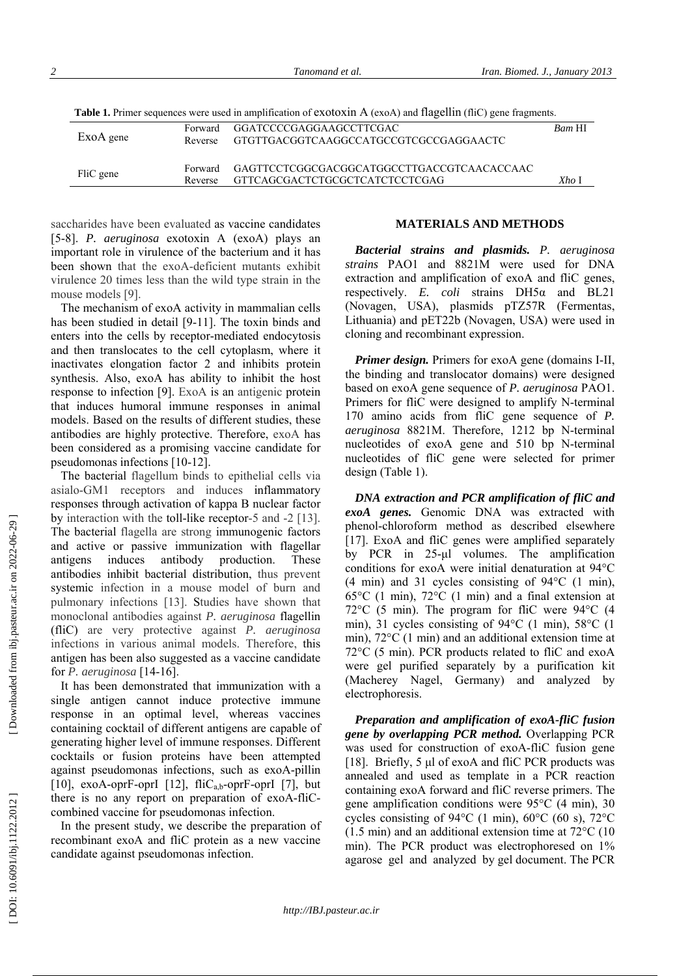| Table 1. Primer sequences were used in amplification of exotoxin A (exoA) and flagellin (fliC) gene fragments. |  |  |  |  |  |  |  |  |
|----------------------------------------------------------------------------------------------------------------|--|--|--|--|--|--|--|--|
|----------------------------------------------------------------------------------------------------------------|--|--|--|--|--|--|--|--|

| ExoA gene | Forward<br>Reverse | _GGATCCCCGAGGAAGCCTTCGAC_<br>GTGTTGACGGTCAAGGCCATGCCGTCGCCGAGGAACTC          | Bam HI |
|-----------|--------------------|------------------------------------------------------------------------------|--------|
| FliC gene | Forward<br>Reverse | GAGTTCCTCGGCGACGGCATGGCCTTGACCGTCAACACCAAC<br>GTTCAGCGACTCTGCGCTCATCTCCTCGAG | Xho I  |

saccharides have been evaluated as vaccine candidates [5-8]. *P. aeruginosa* exotoxin A (exoA) plays an important role in virulence of the bacterium and it has been shown that the exoA-deficient mutants exhibit virulence 20 times less than the wild type strain in the mouse models [9].

The mechanism of exoA activity in mammalian cells has been studied in detail [9-11]. The toxin binds and enters into the cells by receptor-mediated endocytosis and then translocates to the cell cytoplasm, where it inactivates elongation factor 2 and inhibits protein synthesis. Also, exoA has ability to inhibit the host response to infection [9]. ExoA is an antigenic protein that induces humoral immune responses in animal models. Based on the results of different studies, these antibodies are highly protective. Therefore, exoA has been considered as a promising vaccine candidate for pseudomonas infections [10-12].

The bacterial flagellum binds to epithelial cells via asialo-GM1 receptors and induces inflammatory responses through activation of kappa B nuclear factor by interaction with the toll-like receptor-5 and -2 [13]. The bacterial flagella are strong immunogenic factors and active or passive immunization with flagellar antigens induces antibody production. These antibodies inhibit bacterial distribution, thus prevent systemic infection in a mouse model of burn and pulmonary infections [13]. Studies have shown that monoclonal antibodies against *P. aeruginosa* flagellin (fliC) are very protective against *P. aeruginosa* infections in various animal models. Therefore, this antigen has been also suggested as a vaccine candidate for *P. aeruginosa* [14-16].

It has been demonstrated that immunization with a single antigen cannot induce protective immune response in an optimal level, whereas vaccines containing cocktail of different antigens are capable of generating higher level of immune responses. Different cocktails or fusion proteins have been attempted against pseudomonas infections, such as exoA-pillin [10], exoA-oprF-oprI [12],  $\text{flic}_{a,b}$ -oprF-oprI [7], but there is no any report on preparation of exoA-fliCcombined vaccine for pseudomonas infection.

In the present study, we describe the preparation of recombinant exoA and fliC protein as a new vaccine candidate against pseudomonas infection.

## **MATERIALS AND METHODS**

*Bacterial strains and plasmids. P. aeruginosa strains* PAO1 and 8821M were used for DNA extraction and amplification of exoA and fliC genes, respectively. *E. coli* strains DH5 α and BL21 (Novagen, USA), plasmids pTZ57R (Fermentas, Lithuania) and pET22b (Novagen, USA) were used in cloning and recombinant expression.

*Primer design.* Primers for exoA gene (domains I-II, the binding and translocator domains) were designed based on exoA gene sequence of *P. aeruginosa* PAO1. Primers for fliC were designed to amplify N-terminal 170 amino acids from fliC gene sequence of *P. aeruginosa* 8821M. Therefore, 1212 bp N-terminal nucleotides of exoA gene and 510 bp N-terminal nucleotides of fliC gene were selected for primer design (Table 1).

*DNA extraction and PCR amplification of fliC and exoA genes.* Genomic DNA was extracted with phenol-chloroform method as described elsewhere [17]. ExoA and fliC genes were amplified separately by PCR in 25-µl volumes. The amplification conditions for exoA were initial denaturation at 94°C (4 min) and 31 cycles consisting of 94°C (1 min), 65°C (1 min), 72°C (1 min) and a final extension at 72°C (5 min). The program for fliC were 94°C (4 min), 31 cycles consisting of 94°C (1 min), 58°C (1 min), 72°C (1 min) and an additional extension time at 72°C (5 min). PCR products related to fliC and exoA were gel purified separately by a purification kit (Macherey Nagel, Germany) and analyzed by electrophoresis.

*Preparation and amplification of exoA-fliC fusion gene by overlapping PCR method.* Overlapping PCR was used for construction of exoA-fliC fusion gene [18]. Briefly, 5 µl of exoA and fliC PCR products was annealed and used as template in a PCR reaction containing exoA forward and fliC reverse primers. The gene amplification conditions were 95°C (4 min), 30 cycles consisting of 94 $\rm{°C}$  (1 min), 60 $\rm{°C}$  (60 s), 72 $\rm{°C}$ (1.5 min) and an additional extension time at 72°C (10 min). The PCR product was electrophoresed on 1% agarose gel and analyzed by gel document. The PCR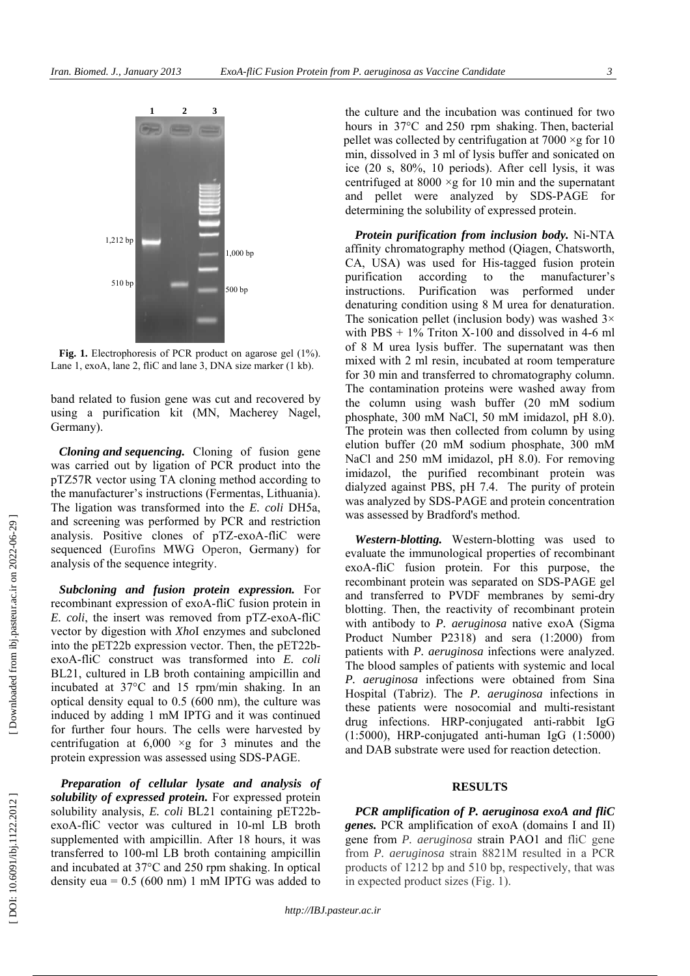

**Fig. 1.** Electrophoresis of PCR product on agarose gel (1%). Lane 1, exoA, lane 2, fliC and lane 3, DNA size marker (1 kb).

band related to fusion gene was cut and recovered by using a purification kit (MN, Macherey Nagel, Germany).

*Cloning and sequencing.* Cloning of fusion gene was carried out by ligation of PCR product into the pTZ57R vector using TA cloning method according to the manufacturer's instructions (Fermentas, Lithuania). The ligation was transformed into the *E. coli* DH5a, and screening was performed by PCR and restriction analysis. Positive clones of pTZ-exoA-fliC were sequenced (Eurofins MWG Operon, Germany) for analysis of the sequence integrity.

*Subcloning and fusion protein expression.* For recombinant expression of exoA-fliC fusion protein in *E. coli*, the insert was removed from pTZ-exoA-fliC vector by digestion with *Xho*I enzymes and subcloned into the pET22b expression vector. Then, the pET22bexoA-fliC construct was transformed into *E. coli* BL21, cultured in LB broth containing ampicillin and incubated at 37°C and 15 rpm/min shaking. In an optical density equal to 0.5 (600 nm), the culture was induced by adding 1 mM IPTG and it was continued for further four hours. The cells were harvested by centrifugation at  $6,000 \times g$  for 3 minutes and the protein expression was assessed using SDS-PAGE.

*Preparation of cellular lysate and analysis of solubility of expressed protein.* For expressed protein solubility analysis, *E. coli* BL21 containing pET22bexoA-fliC vector was cultured in 10-ml LB broth supplemented with ampicillin. After 18 hours, it was transferred to 100-ml LB broth containing ampicillin and incubated at 37°C and 250 rpm shaking. In optical density eua =  $0.5$  (600 nm) 1 mM IPTG was added to

the culture and the incubation was continued for two hours in 37°C and 250 rpm shaking. Then, bacterial pellet was collected by centrifugation at  $7000 \times g$  for 10 min, dissolved in 3 ml of lysis buffer and sonicated on ice (20 s, 80%, 10 periods). After cell lysis, it was centrifuged at  $8000 \times g$  for 10 min and the supernatant and pellet were analyzed by SDS-PAGE for determining the solubility of expressed protein.

*Protein purification from inclusion body.* Ni-NTA affinity chromatography method (Qiagen, Chatsworth, CA, USA) was used for His-tagged fusion protein purification according to the manufacturer's instructions. Purification was performed under denaturing condition using 8 M urea for denaturation. The sonication pellet (inclusion body) was washed  $3\times$ with  $PBS + 1\%$  Triton X-100 and dissolved in 4-6 ml of 8 M urea lysis buffer. The supernatant was then mixed with 2 ml resin, incubated at room temperature for 30 min and transferred to chromatography column. The contamination proteins were washed away from the column using wash buffer (20 mM sodium phosphate, 300 mM NaCl, 50 mM imidazol, pH 8.0). The protein was then collected from column by using elution buffer (20 mM sodium phosphate, 300 mM NaCl and 250 mM imidazol, pH 8.0). For removing imidazol, the purified recombinant protein was dialyzed against PBS, pH 7.4. The purity of protein was analyzed by SDS-PAGE and protein concentration was assessed by Bradford's method.

*Western-blotting.* Western-blotting was used to evaluate the immunological properties of recombinant exoA-fliC fusion protein. For this purpose, the recombinant protein was separated on SDS-PAGE gel and transferred to PVDF membranes by semi-dry blotting. Then, the reactivity of recombinant protein with antibody to *P. aeruginosa* native exoA (Sigma Product Number P2318) and sera (1:2000) from patients with *P. aeruginosa* infections were analyzed. The blood samples of patients with systemic and local *P. aeruginosa* infections were obtained from Sina Hospital (Tabriz). The *P. aeruginosa* infections in these patients were nosocomial and multi-resistant drug infections. HRP-conjugated anti-rabbit IgG (1:5000), HRP-conjugated anti-human IgG (1:5000) and DAB substrate were used for reaction detection.

#### **RESULTS**

*PCR amplification of P. aeruginosa exoA and fliC genes.* PCR amplification of exoA (domains I and II) gene from *P. aeruginosa* strain PAO1 and fliC gene from *P. aeruginosa* strain 8821M resulted in a PCR products of 1212 bp and 510 bp, respectively, that was in expected product sizes (Fig. 1).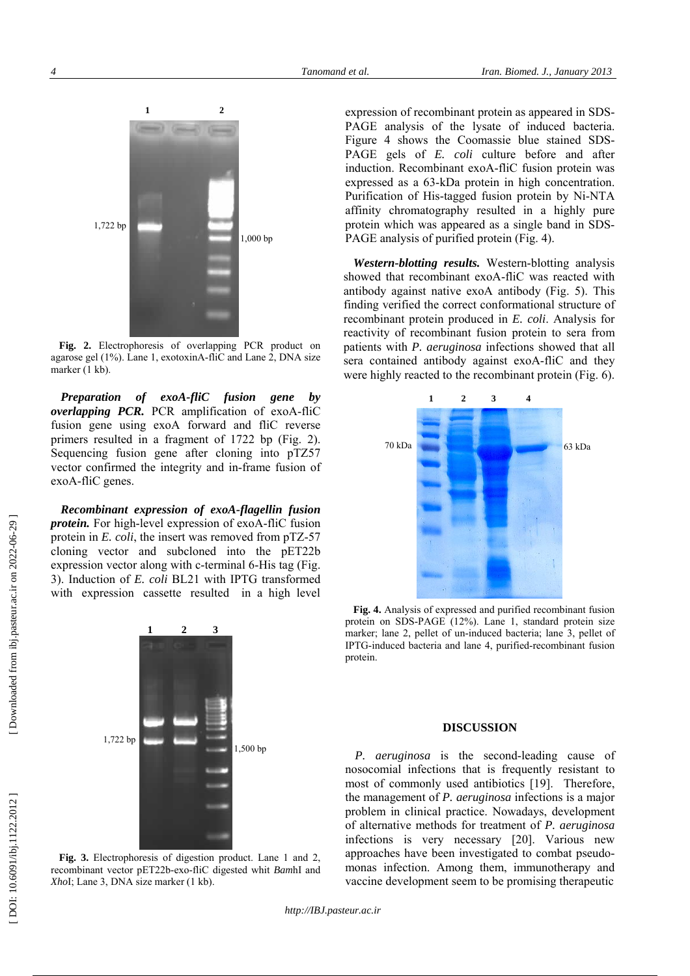

**Fig. 2.** Electrophoresis of overlapping PCR product on agarose gel (1%). Lane 1, exotoxinA-fliC and Lane 2, DNA size marker (1 kb).

*Preparation of exoA-fliC fusion gene by overlapping PCR.* PCR amplification of exoA-fliC fusion gene using exoA forward and fliC reverse primers resulted in a fragment of 1722 bp (Fig. 2). Sequencing fusion gene after cloning into pTZ57 vector confirmed the integrity and in-frame fusion of exoA-fliC genes.

*Recombinant expression of exoA-flagellin fusion protein.* For high-level expression of exoA-fliC fusion protein in *E. coli*, the insert was removed from pTZ-57 cloning vector and subcloned into the pET22b expression vector along with c-terminal 6-His tag (Fig. 3). Induction of *E. coli* BL21 with IPTG transformed with expression cassette resulted in a high level



**Fig. 3.** Electrophoresis of digestion product. Lane 1 and 2, recombinant vector pET22b-exo-fliC digested whit *Bam*hI and *Xho*I; Lane 3, DNA size marker (1 kb).

expression of recombinant protein as appeared in SDS-PAGE analysis of the lysate of induced bacteria. Figure 4 shows the Coomassie blue stained SDS-PAGE gels of *E. coli* culture before and after induction. Recombinant exoA-fliC fusion protein was expressed as a 63-kDa protein in high concentration. Purification of His-tagged fusion protein by Ni-NTA affinity chromatography resulted in a highly pure protein which was appeared as a single band in SDS-PAGE analysis of purified protein (Fig. 4).

*Western-blotting results.* Western-blotting analysis showed that recombinant exoA-fliC was reacted with antibody against native exoA antibody (Fig. 5). This finding verified the correct conformational structure of recombinant protein produced in *E. coli*. Analysis for reactivity of recombinant fusion protein to sera from patients with *P. aeruginosa* infections showed that all sera contained antibody against exoA-fliC and they were highly reacted to the recombinant protein (Fig. 6).



**Fig. 4.** Analysis of expressed and purified recombinant fusion protein on SDS-PAGE (12%). Lane 1, standard protein size marker; lane 2, pellet of un-induced bacteria; lane 3, pellet of IPTG-induced bacteria and lane 4, purified-recombinant fusion protein.

## **DISCUSSION**

*P. aeruginosa* is the second-leading cause of nosocomial infections that is frequently resistant to most of commonly used antibiotics [19]. Therefore, the management of *P. aeruginosa* infections is a major problem in clinical practice. Nowadays, development of alternative methods for treatment of *P. aeruginosa* infections is very necessary [20]. Various new approaches have been investigated to combat pseudomonas infection. Among them, immunotherapy and vaccine development seem to be promising therapeutic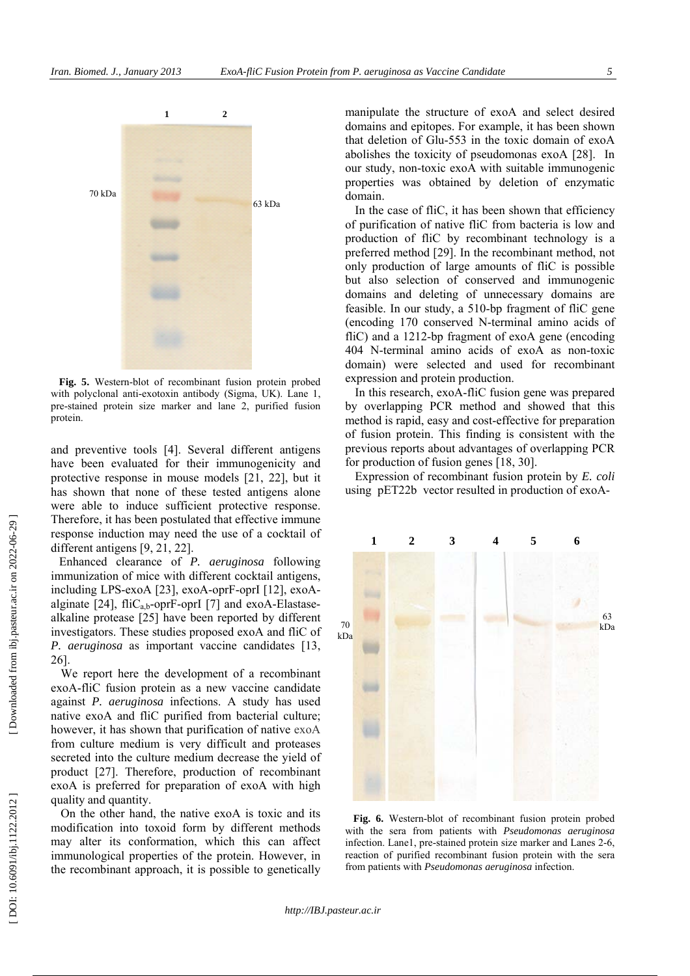

**Fig. 5.** Western-blot of recombinant fusion protein probed with polyclonal anti-exotoxin antibody (Sigma, UK). Lane 1, pre-stained protein size marker and lane 2, purified fusion protein.

and preventive tools [4]. Several different antigens have been evaluated for their immunogenicity and protective response in mouse models [21, 22], but it has shown that none of these tested antigens alone were able to induce sufficient protective response. Therefore, it has been postulated that effective immune response induction may need the use of a cocktail of different antigens [9, 21, 22].

Enhanced clearance of *P. aeruginosa* following immunization of mice with different cocktail antigens, including LPS-exoA [23], exoA-oprF-oprI [12], exoAalginate [24], fliC<sub>a b</sub>-oprF-oprI [7] and exoA-Elastasealkaline protease [25] have been reported by different investigators. These studies proposed exoA and fliC of *P. aeruginosa* as important vaccine candidates [13, 26].

We report here the development of a recombinant exoA-fliC fusion protein as a new vaccine candidate against *P. aeruginosa* infections. A study has used native exoA and fliC purified from bacterial culture; however, it has shown that purification of native exoA from culture medium is very difficult and proteases secreted into the culture medium decrease the yield of product [27]. Therefore, production of recombinant exoA is preferred for preparation of exoA with high quality and quantity.

On the other hand, the native exoA is toxic and its modification into toxoid form by different methods may alter its conformation, which this can affect immunological properties of the protein. However, in the recombinant approach, it is possible to genetically manipulate the structure of exoA and select desired domains and epitopes. For example, it has been shown that deletion of Glu-553 in the toxic domain of exoA abolishes the toxicity of pseudomonas exoA [28]. In our study, non-toxic exoA with suitable immunogenic properties was obtained by deletion of enzymatic domain.

In the case of fliC, it has been shown that efficiency of purification of native fliC from bacteria is low and production of fliC by recombinant technology is a preferred method [29]. In the recombinant method, not only production of large amounts of fliC is possible but also selection of conserved and immunogenic domains and deleting of unnecessary domains are feasible. In our study, a 510-bp fragment of fliC gene (encoding 170 conserved N-terminal amino acids of fliC) and a 1212-bp fragment of exoA gene (encoding 404 N-terminal amino acids of exoA as non-toxic domain) were selected and used for recombinant expression and protein production.

In this research, exoA-fliC fusion gene was prepared by overlapping PCR method and showed that this method is rapid, easy and cost-effective for preparation of fusion protein. This finding is consistent with the previous reports about advantages of overlapping PCR for production of fusion genes [18, 30].

Expression of recombinant fusion protein by *E. coli* using pET22b vector resulted in production of exoA-



**Fig. 6.** Western-blot of recombinant fusion protein probed with the sera from patients with *Pseudomonas aeruginosa* infection. Lane1, pre-stained protein size marker and Lanes 2-6, reaction of purified recombinant fusion protein with the sera from patients with *Pseudomonas aeruginosa* infection.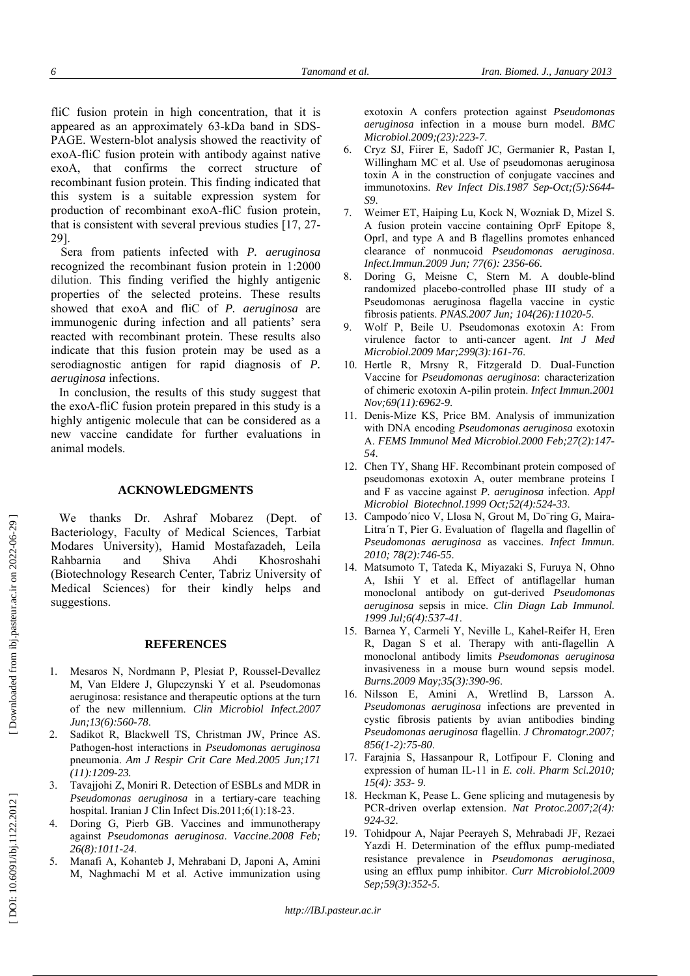fliC fusion protein in high concentration, that it is appeared as an approximately 63-kDa band in SDS-PAGE. Western-blot analysis showed the reactivity of exoA-fliC fusion protein with antibody against native exoA, that confirms the correct structure of recombinant fusion protein. This finding indicated that this system is a suitable expression system for production of recombinant exoA-fliC fusion protein, that is consistent with several previous studies [17, 27- 29].

Sera from patients infected with *P. aeruginosa* recognized the recombinant fusion protein in 1:2000 dilution. This finding verified the highly antigenic properties of the selected proteins. These results showed that exoA and fliC of *P. aeruginosa* are immunogenic during infection and all patients' sera reacted with recombinant protein. These results also indicate that this fusion protein may be used as a serodiagnostic antigen for rapid diagnosis of *P. aeruginosa* infections.

In conclusion, the results of this study suggest that the exoA-fliC fusion protein prepared in this study is a highly antigenic molecule that can be considered as a new vaccine candidate for further evaluations in animal models.

## **ACKNOWLEDGMENTS**

We thanks Dr. Ashraf Mobarez (Dept. of Bacteriology, Faculty of Medical Sciences, Tarbiat Modares University), Hamid Mostafazadeh, Leila Rahbarnia and Shiva Ahdi Khosroshahi (Biotechnology Research Center, Tabriz University of Medical Sciences) for their kindly helps and suggestions.

## **REFERENCES**

- 1. Mesaros N, Nordmann P, Plesiat P, Roussel-Devallez M, Van Eldere J, Glupczynski Y et al. Pseudomonas aeruginosa: resistance and therapeutic options at the turn of the new millennium. *Clin Microbiol Infect.2007 Jun;13(6):560-78*.
- 2. Sadikot R, Blackwell TS, Christman JW, Prince AS. Pathogen-host interactions in *Pseudomonas aeruginosa* pneumonia. *Am J Respir Crit Care Med.2005 Jun;171 (11):1209-23.*
- 3. Tavajjohi Z, Moniri R. Detection of ESBLs and MDR in *Pseudomonas aeruginosa* in a tertiary-care teaching hospital. Iranian J Clin Infect Dis.2011;6(1):18-23.
- 4. Doring G, Pierb GB. Vaccines and immunotherapy against *Pseudomonas aeruginosa*. *Vaccine.2008 Feb; 26(8):1011-24*.
- 5. Manafi A, Kohanteb J, Mehrabani D, Japoni A, Amini M, Naghmachi M et al. Active immunization using

exotoxin A confers protection against *Pseudomonas aeruginosa* infection in a mouse burn model. *BMC Microbiol.2009;(23):223-7*.

- 6. Cryz SJ, Fiirer E, Sadoff JC, Germanier R, Pastan I, Willingham MC et al. Use of pseudomonas aeruginosa toxin A in the construction of conjugate vaccines and immunotoxins. *Rev Infect Dis.1987 Sep-Oct;(5):S644- S9*.
- 7. Weimer ET, Haiping Lu, Kock N, Wozniak D, Mizel S. A fusion protein vaccine containing OprF Epitope 8, OprI, and type A and B flagellins promotes enhanced clearance of nonmucoid *Pseudomonas aeruginosa*. *Infect.Immun.2009 Jun; 77(6): 2356-66*.
- Doring G, Meisne C, Stern M. A double-blind randomized placebo-controlled phase III study of a Pseudomonas aeruginosa flagella vaccine in cystic fibrosis patients. *PNAS.2007 Jun; 104(26):11020-5*.
- 9. Wolf P, Beile U. Pseudomonas exotoxin A: From virulence factor to anti-cancer agent. *Int J Med Microbiol.2009 Mar;299(3):161-76*.
- 10. Hertle R, Mrsny R, Fitzgerald D. Dual-Function Vaccine for *Pseudomonas aeruginosa*: characterization of chimeric exotoxin A-pilin protein. *Infect Immun.2001 Nov;69(11):6962-9*.
- 11. Denis-Mize KS, Price BM. Analysis of immunization with DNA encoding *Pseudomonas aeruginosa* exotoxin A. *FEMS Immunol Med Microbiol.2000 Feb;27(2):147- 54*.
- 12. Chen TY, Shang HF. Recombinant protein composed of pseudomonas exotoxin A, outer membrane proteins I and F as vaccine against *P. aeruginosa* infection. *Appl Microbiol Biotechnol.1999 Oct;52(4):524-33*.
- 13. Campodo´nico V, Llosa N, Grout M, Do¨ring G, Maira-Litra´n T, Pier G. Evaluation of flagella and flagellin of *Pseudomonas aeruginosa* as vaccines. *Infect Immun. 2010; 78(2):746-55*.
- 14. Matsumoto T, Tateda K, Miyazaki S, Furuya N, Ohno A, Ishii Y et al. Effect of antiflagellar human monoclonal antibody on gut-derived *Pseudomonas aeruginosa* sepsis in mice. *Clin Diagn Lab Immunol. 1999 Jul;6(4):537-41*.
- 15. Barnea Y, Carmeli Y, Neville L, Kahel-Reifer H, Eren R, Dagan S et al. Therapy with anti-flagellin A monoclonal antibody limits *Pseudomonas aeruginosa* invasiveness in a mouse burn wound sepsis model. *Burns.2009 May;35(3):390-96*.
- 16. Nilsson E, Amini A, Wretlind B, Larsson A. *Pseudomonas aeruginosa* infections are prevented in cystic fibrosis patients by avian antibodies binding *Pseudomonas aeruginosa* flagellin. *J Chromatogr.2007; 856(1-2):75-80*.
- 17. Farajnia S, Hassanpour R, Lotfipour F. Cloning and expression of human IL-11 in *E. coli*. *Pharm Sci.2010; 15(4): 353- 9*.
- 18. Heckman K, Pease L. Gene splicing and mutagenesis by PCR-driven overlap extension. *Nat Protoc.2007;2(4): 924-32*.
- 19. Tohidpour A, Najar Peerayeh S, Mehrabadi JF, Rezaei Yazdi H. Determination of the efflux pump-mediated resistance prevalence in *Pseudomonas aeruginosa*, using an efflux pump inhibitor. *Curr Microbiolol.2009 Sep;59(3):352-5*.